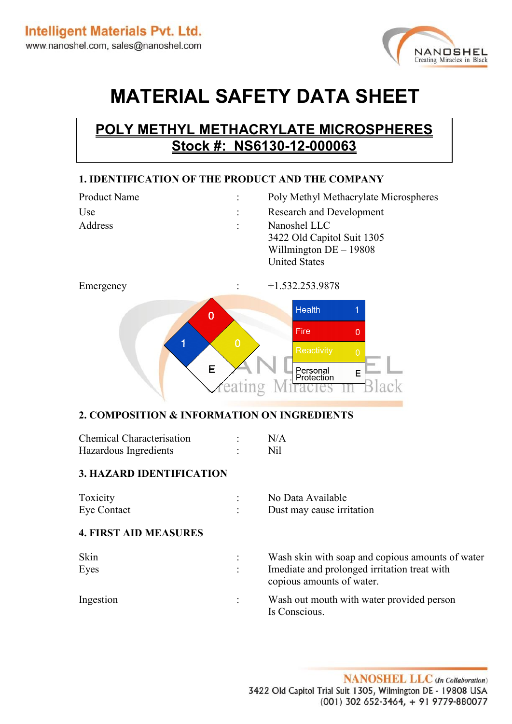

# **MATERIAL SAFETY DATA SHEET**

# **POLY METHYL METHACRYLATE MICROSPHERES Stock #: NS6130-12-000063**

# **1. IDENTIFICATION OF THE PRODUCT AND THE COMPANY**

| <b>Product Name</b> | Poly Methyl Methacrylate Microspheres                                                          |
|---------------------|------------------------------------------------------------------------------------------------|
| Use                 | <b>Research and Development</b>                                                                |
| Address             | Nanoshel LLC<br>3422 Old Capitol Suit 1305<br>Willmington $DE - 19808$<br><b>United States</b> |
|                     |                                                                                                |



# **2. COMPOSITION & INFORMATION ON INGREDIENTS**

| <b>Chemical Characterisation</b> | N/A |
|----------------------------------|-----|
| Hazardous Ingredients            | Nil |

#### **3. HAZARD IDENTIFICATION**

| Toxicity    | No Data Available         |
|-------------|---------------------------|
| Eye Contact | Dust may cause irritation |

#### **4. FIRST AID MEASURES**

| Skin<br>Eyes | Wash skin with soap and copious amounts of water<br>Imediate and prolonged irritation treat with<br>copious amounts of water. |
|--------------|-------------------------------------------------------------------------------------------------------------------------------|
| Ingestion    | Wash out mouth with water provided person<br>Is Conscious.                                                                    |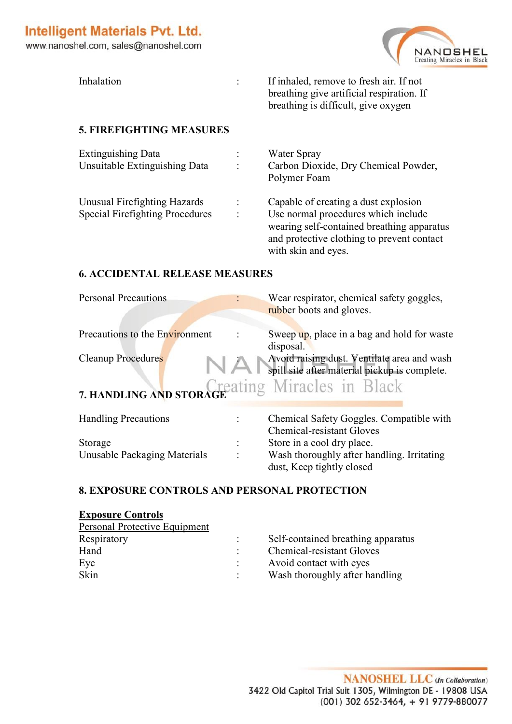NANOSHEL Creating Miracles in Black

www.nanoshel.com, sales@nanoshel.com

| Inhalation | If inhaled, remove to fresh air. If not   |
|------------|-------------------------------------------|
|            | breathing give artificial respiration. If |
|            | breathing is difficult, give oxygen       |

# **5. FIREFIGHTING MEASURES**

| <b>Extinguishing Data</b>              | Water Spray                                |
|----------------------------------------|--------------------------------------------|
| Unsuitable Extinguishing Data          | Carbon Dioxide, Dry Chemical Powder,       |
|                                        | Polymer Foam                               |
| Unusual Firefighting Hazards           | Capable of creating a dust explosion       |
| <b>Special Firefighting Procedures</b> | Use normal procedures which include        |
|                                        | wearing self-contained breathing apparatus |
|                                        | and protective clothing to prevent contact |
|                                        | with skin and eyes.                        |

# **6. ACCIDENTAL RELEASE MEASURES**

| <b>Personal Precautions</b>                     |           | Wear respirator, chemical safety goggles,<br>rubber boots and gloves.                        |
|-------------------------------------------------|-----------|----------------------------------------------------------------------------------------------|
| Precautions to the Environment                  | disposal. | Sweep up, place in a bag and hold for waste                                                  |
| <b>Cleanup Procedures</b>                       |           | Avoid raising dust. Ventilate area and wash<br>spill site after material pickup is complete. |
| 7. HANDLING AND STORAGE ating Miracles in Black |           |                                                                                              |
| <b>Handling Precautions</b>                     |           | Chemical Safety Goggles. Compatible with<br><b>Chemical-resistant Gloves</b>                 |
| Storage                                         |           | Store in a cool dry place.                                                                   |
| Unusable Packaging Materials                    |           | Wash thoroughly after handling. Irritating<br>dust, Keep tightly closed                      |

# **8. EXPOSURE CONTROLS AND PERSONAL PROTECTION**

# **Exposure Controls**  Personal Protective Equipment Respiratory : Self-contained breathing apparatus Hand : Chemical-resistant Gloves Eye : Avoid contact with eyes Skin : Wash thoroughly after handling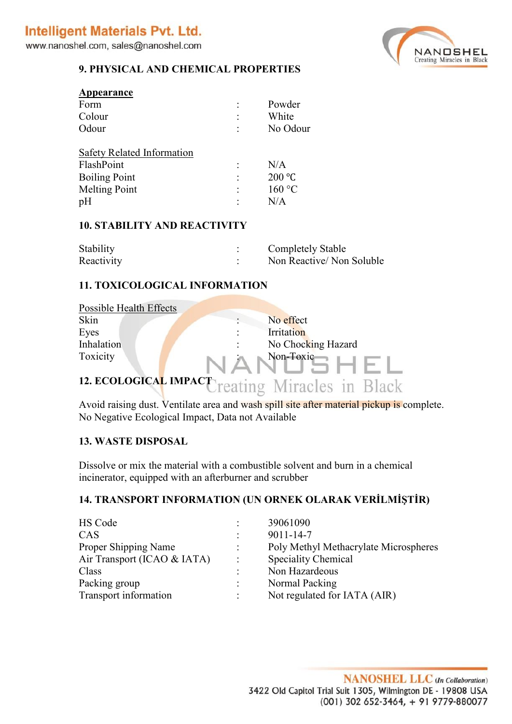www.nanoshel.com, sales@nanoshel.com



#### **9. PHYSICAL AND CHEMICAL PROPERTIES**

| Appearance                                                                                            |   |                                |
|-------------------------------------------------------------------------------------------------------|---|--------------------------------|
| Form                                                                                                  |   | Powder                         |
| Colour                                                                                                | ٠ | White                          |
| Odour                                                                                                 | ٠ | No Odour                       |
| <b>Safety Related Information</b><br>FlashPoint<br><b>Boiling Point</b><br><b>Melting Point</b><br>pH | ٠ | N/A<br>200 °C<br>160 °C<br>N/A |

#### **10. STABILITY AND REACTIVITY**

| Stability  | <b>Completely Stable</b> |
|------------|--------------------------|
| Reactivity | Non Reactive/Non Soluble |

#### **11. TOXICOLOGICAL INFORMATION**

| Possible Health Effects      |                    |
|------------------------------|--------------------|
| Skin                         | No effect          |
| Eyes                         | Irritation         |
| Inhalation                   | No Chocking Hazard |
| Toxicity                     | Non-Toxic          |
| <b>12. ECOLOGICAL IMPACT</b> | ating Miracles in  |

Avoid raising dust. Ventilate area and wash spill site after material pickup is complete. No Negative Ecological Impact, Data not Available

#### **13. WASTE DISPOSAL**

Dissolve or mix the material with a combustible solvent and burn in a chemical incinerator, equipped with an afterburner and scrubber

# **14. TRANSPORT INFORMATION (UN ORNEK OLARAK VERİLMİŞTİR)**

|   | 39061090                              |
|---|---------------------------------------|
|   | $9011 - 14 - 7$                       |
|   | Poly Methyl Methacrylate Microspheres |
| ÷ | <b>Speciality Chemical</b>            |
| ٠ | Non Hazardeous                        |
|   | Normal Packing                        |
|   | Not regulated for IATA (AIR)          |
|   |                                       |